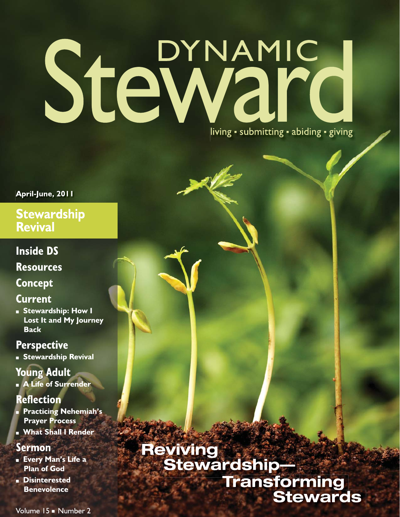# Steward living · submitting · abiding · giving

#### April-June, 2011

#### **Stewardship Revival**

#### **Inside DS**

**Resources** 

#### **Concept**

#### **Current**

Stewardship: How I Lost It and My Journey **Back** 

#### **Perspective**

**Stewardship Revival** 

#### **Young Adult**

A Life of Surrender

#### **Reflection**

- **Practicing Nehemiah's Prayer Process**
- **NAME:** What Shall I Render

#### **Sermon**

- **Every Man's Life a Plan of God**
- **Disinterested Benevolence**

### Reviving<br>Stewardship-Transforming **Stewards**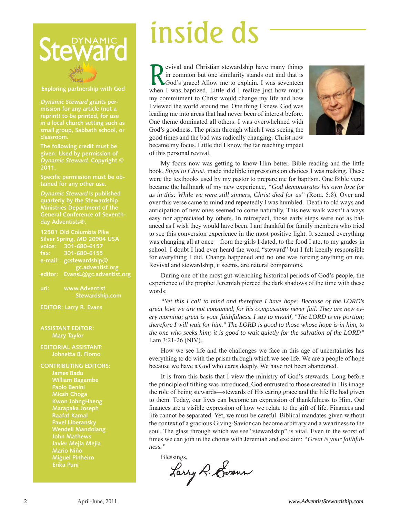

**Exploring partnership with God** 

**Dynamic Steward grants permission for any article (not a reprint) to be printed, for use in a local church setting such as small group, Sabbath school, or classroom.** 

**The following credit must be given: Used by permission of Dynamic Steward. Copyright © 2011.** 

**Specific permission must be obtained for any other use.** 

**Ministries Department of the General Conference of Seventh-**

**12501 Old Columbia Pike Silver Spring, MD 20904 USA voice: 301-680-6157 fax: 301-680-6155 e-mail: gcstewardship@ gc.adventist.org editor: EvansL@gc.adventist.org url: www.Adventist**

 **Stewardship.com**

**EDITOR: Larry R. Evans**

#### **ASSISTANT EDITOR: Mary Taylor**

**EDITORIAL ASSISTANT: Johnetta B. Flomo**

**CONTRIBUTING EDITORS: William Bagambe Paolo Benini Micah Choga Kwon JohngHaeng Marapaka Joseph Raafat Kamal Pavel Liberansky Wendell Mandolang John Mathews Mario Niño Miguel Pinheiro Erika Puni**

Revival and Christian stewardship have many things<br>in common but one similarity stands out and that is<br>God's grace! Allow me to explain. I was seventeen in common but one similarity stands out and that is God's grace! Allow me to explain. I was seventeen when I was baptized. Little did I realize just how much my commitment to Christ would change my life and how I viewed the world around me. One thing I knew, God was leading me into areas that had never been of interest before. One theme dominated all others. I was overwhelmed with God's goodness. The prism through which I was seeing the good times and the bad was radically changing. Christ now became my focus. Little did I know the far reaching impact of this personal revival.



My focus now was getting to know Him better. Bible reading and the little book, *Steps to Christ*, made indelible impressions on choices I was making. These were the textbooks used by my pastor to prepare me for baptism. One Bible verse became the hallmark of my new experience, *"God demonstrates his own love for us in this: While we were still sinners, Christ died for us" (*Rom. 5:8). Over and over this verse came to mind and repeatedly I was humbled. Death to old ways and anticipation of new ones seemed to come naturally. This new walk wasn't always easy nor appreciated by others. In retrospect, those early steps were not as balanced as I wish they would have been. I am thankful for family members who tried to see this conversion experience in the most positive light. It seemed everything was changing all at once—from the girls I dated, to the food I ate, to my grades in school. I doubt I had ever heard the word "steward" but I felt keenly responsible for everything I did. Change happened and no one was forcing anything on me. Revival and stewardship, it seems, are natural companions. **SECURE ANTIFORM CONTROLL CONTROLL CONTROLL CONTROLL CONTROLL CONTROLL CONTROLL CONTROLL CONTROLL CONTROLL CONTROLL CONTROLL CONTROLL CONTROLL CONTROLL CONTROLL CONTROLL CONTROLL CONTROLL CONTROLL CONTROLL CONTROLL CONTRO** 

During one of the most gut-wrenching historical periods of God's people, the experience of the prophet Jeremiah pierced the dark shadows of the time with these words:

*"Yet this I call to mind and therefore I have hope: Because of the LORD's great love we are not consumed, for his compassions never fail. They are new every morning; great is your faithfulness. I say to myself, "The LORD is my portion; therefore I will wait for him." The LORD is good to those whose hope is in him, to the one who seeks him; it is good to wait quietly for the salvation of the LORD"* Lam 3:21-26 (NIV).

How we see life and the challenges we face in this age of uncertainties has everything to do with the prism through which we see life. We are a people of hope because we have a God who cares deeply. We have not been abandoned.

It is from this basis that I view the ministry of God's stewards. Long before the principle of tithing was introduced, God entrusted to those created in His image the role of being stewards—stewards of His caring grace and the life He had given to them. Today, our lives can become an expression of thankfulness to Him. Our finances are a visible expression of how we relate to the gift of life. Finances and life cannot be separated. Yet, we must be careful. Biblical mandates given without the context of a gracious Giving-Savior can become arbitrary and a weariness to the soul. The glass through which we see "stewardship" is vital. Even in the worst of times we can join in the chorus with Jeremiah and exclaim: *"Great is your faithfulness."*

Blessings,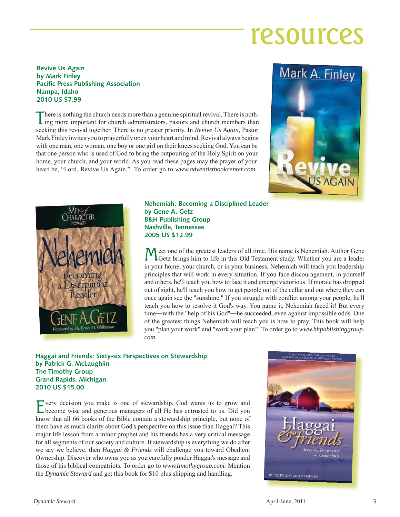### resources

#### **Revive Us Again by Mark Finley Pacific Press Publishing Association Nampa, Idaho 2010 US \$7.99**

There is nothing the church needs more than a genuine spiritual revival. There is nothing more important for church administrators, pastors and church members than seeking this revival together. There is no greater priority. In *Revive Us Again*, Pastor Mark Finley invites you to prayerfully open your heart and mind. Revival always begins with one man, one woman, one boy or one girl on their knees seeking God. You can be that one person who is used of God to bring the outpouring of the Holy Spirit on your home, your church, and your world. As you read these pages may the prayer of your heart be, "Lord, Revive Us Again." To order go to *www.adventistbookcenter.com.*





**Nehemiah: Becoming a Disciplined Leader by Gene A. Getz B&H Publishing Group Nashville, Tennessee 2005 US \$12.99**

Meet one of the greatest leaders of all time. His name is Nehemiah. Author Gene Getz brings him to life in this Old Testament study. Whether you are a leader in your home, your church, or in your business, Nehemiah will teach you leadership principles that will work in every situation. If you face discouragement, in yourself and others, he'll teach you how to face it and emerge victorious. If morale has dropped out of sight, he'll teach you how to get people out of the cellar and out where they can once again see the "sunshine." If you struggle with conflict among your people, he'll teach you how to resolve it God's way. You name it, Nehemiah faced it! But every time―with the "help of his God''―he succeeded, even against impossible odds. One of the greatest things Nehemiah will teach you is how to pray. This book will help you "plan your work" and "work your plan!" To order go to *www.bhpublishinggroup. com*.

#### **Haggai and Friends: Sixty-six Perspectives on Stewardship by Patrick G. McLaughlin The Timothy Group Grand Rapids, Michigan 2010 US \$15.00**

Every decision you make is one of stewardship. God wants us to grow and become wise and generous managers of all He has entrusted to us. Did you know that all 66 books of the Bible contain a stewardship principle, but none of them have as much clarity about God's perspective on this issue than Haggai? This major life lesson from a minor prophet and his friends has a very critical message for all segments of our society and culture. If stewardship is everything we do after we say we believe, then *Haggai & Friends* will challenge you toward Obedient Ownership. Discover who owns you as you carefully ponder Haggai's message and those of his biblical compatriots. To order go to *www.timothygroup.com.* Mention the *Dynamic Steward* and get this book for \$10 plus shipping and handling.

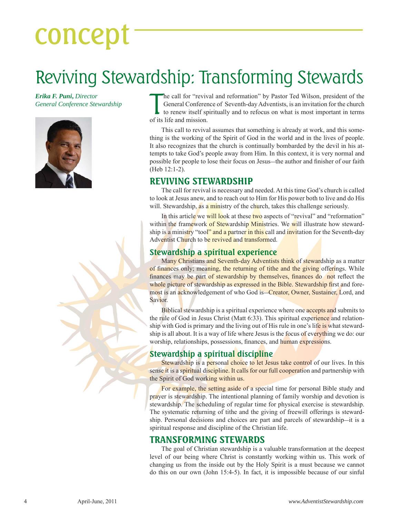# concept

### Reviving Stewardship: Transforming Stewards

*Erika F. Puni***,** *Director General Conference Stewardship*



The call for "revive"<br>General Conference to renew itself sport its life and mission. he call for "revival and reformation" by Pastor Ted Wilson, president of the General Conference of Seventh-day Adventists, is an invitation for the church to renew itself spiritually and to refocus on what is most important in terms

This call to revival assumes that something is already at work, and this something is the working of the Spirit of God in the world and in the lives of people. It also recognizes that the church is continually bombarded by the devil in his attempts to take God's people away from Him. In this context, it is very normal and possible for people to lose their focus on Jesus—the author and finisher of our faith (Heb 12:1-2).

#### **REVIVING STEWARDSHIP**

The call for revival is necessary and needed. At this time God's church is called to look at Jesus anew, and to reach out to Him for His power both to live and do His will. Stewardship, as a ministry of the church, takes this challenge seriously.

In this article we will look at these two aspects of "revival" and "reformation" within the framework of Stewardship Ministries. We will illustrate how stewardship is a ministry "tool" and a partner in this call and invitation for the Seventh-day Adventist Church to be revived and transformed.

#### **Stewardship a spiritual experience**

Many Christians and Seventh-day Adventists think of stewardship as a matter of finances only; meaning, the returning of tithe and the giving offerings. While finances may be part of stewardship by themselves, finances do not reflect the whole picture of stewardship as expressed in the Bible. Stewardship first and foremost is an acknowledgement of who God is—Creator, Owner, Sustainer, Lord, and Savior.

Biblical stewardship is a spiritual experience where one **accepts and** submits to the rule of God in Jesus Christ (Matt 6:33). This spiritual experience and relationship with God is primary and the living out of His rule in one's life is what stewardship is all about. It is a way of life where Jesus is the focus of everything we do: our worship, relationships, possessions, finances, and human expressions.

#### **Stewardship a spiritual discipline**

Stewardship is a personal choice to let Jesus take control of our lives. In this sense it is a spiritual discipline. It calls for our full cooperation and partnership with the Spirit of God working within us.

For example, the setting aside of a special time for personal Bible study and prayer is stewardship. The intentional planning of family worship and devotion is stewardship. The scheduling of regular time for physical exercise is stewardship. The systematic returning of tithe and the giving of freewill offerings is stewardship. Personal decisions and choices are part and parcels of stewardship—it is a spiritual response and discipline of the Christian life.

#### **TRANSFORMING STEWARDS**

The goal of Christian stewardship is a valuable transformation at the deepest level of our being where Christ is constantly working within us. This work of changing us from the inside out by the Holy Spirit is a must because we cannot do this on our own (John 15:4-5). In fact, it is impossible because of our sinful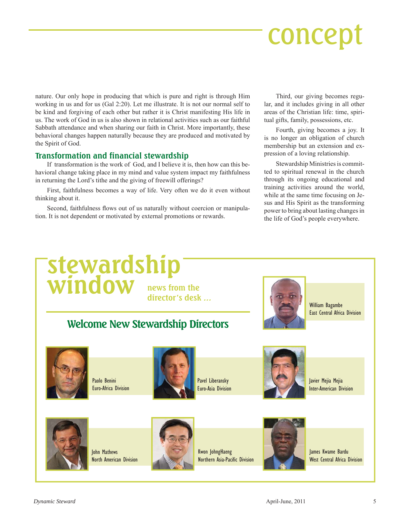## concept

nature. Our only hope in producing that which is pure and right is through Him working in us and for us (Gal 2:20). Let me illustrate. It is not our normal self to be kind and forgiving of each other but rather it is Christ manifesting His life in us. The work of God in us is also shown in relational activities such as our faithful Sabbath attendance and when sharing our faith in Christ. More importantly, these behavioral changes happen naturally because they are produced and motivated by the Spirit of God.

#### **Transformation and financial stewardship**

If transformation is the work of God, and I believe it is, then how can this behavioral change taking place in my mind and value system impact my faithfulness in returning the Lord's tithe and the giving of freewill offerings?

First, faithfulness becomes a way of life. Very often we do it even without thinking about it.

Second, faithfulness flows out of us naturally without coercion or manipulation. It is not dependent or motivated by external promotions or rewards.

Third, our giving becomes regular, and it includes giving in all other areas of the Christian life: time, spiritual gifts, family, possessions, etc.

Fourth, giving becomes a joy. It is no longer an obligation of church membership but an extension and expression of a loving relationship.

Stewardship Ministries is committed to spiritual renewal in the church through its ongoing educational and training activities around the world, while at the same time focusing on Jesus and His Spirit as the transforming power to bring about lasting changes in the life of God's people everywhere.

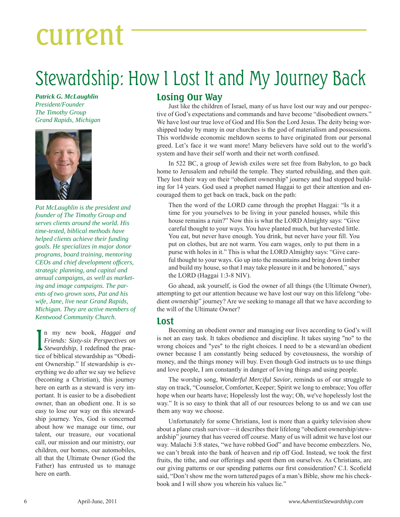## current

### Stewardship: How I Lost It and My Journey Back

*Patrick G. McLaughlin President/Founder The Timothy Group Grand Rapids, Michigan*



*Pat McLaughlin is the president and founder of The Timothy Group and serves clients around the world. His time-tested, biblical methods have helped clients achieve their funding goals. He specializes in major donor programs, board training, mentoring CEOs and chief development offi cers, strategic planning, and capital and annual campaigns, as well as marketing and image campaigns. The parents of two grown sons, Pat and his wife, Jane, live near Grand Rapids, Michigan. They are active members of Kentwood Community Church.*

In my new book, *Haggai and*<br>*Friends: Sixty-six Perspectives on*<br>*Stewardship*, I redefined the pracn my new book, *Haggai and Friends: Sixty-six Perspectives on*  tice of biblical stewardship as "Obedient Ownership." If stewardship is everything we do after we say we believe (becoming a Christian), this journey here on earth as a steward is very important. It is easier to be a disobedient owner, than an obedient one. It is so easy to lose our way on this stewardship journey. Yes, God is concerned about how we manage our time, our talent, our treasure, our vocational call, our mission and our ministry, our children, our homes, our automobiles, all that the Ultimate Owner (God the Father) has entrusted us to manage here on earth.

#### **Losing Our Way**

Just like the children of Israel, many of us have lost our way and our perspective of God's expectations and commands and have become "disobedient owners." We have lost our true love of God and His Son the Lord Jesus. The deity being worshipped today by many in our churches is the god of materialism and possessions. This worldwide economic meltdown seems to have originated from our personal greed. Let's face it we want more! Many believers have sold out to the world's system and have their self worth and their net worth confused.

In 522 BC, a group of Jewish exiles were set free from Babylon, to go back home to Jerusalem and rebuild the temple. They started rebuilding, and then quit. They lost their way on their "obedient ownership" journey and had stopped building for 14 years. God used a prophet named Haggai to get their attention and encouraged them to get back on track, back on the path:

Then the word of the LORD came through the prophet Haggai: "Is it a time for you yourselves to be living in your paneled houses, while this house remains a ruin?" Now this is what the LORD Almighty says: "Give careful thought to your ways. You have planted much, but harvested little. You eat, but never have enough. You drink, but never have your fill. You put on clothes, but are not warm. You earn wages, only to put them in a purse with holes in it." This is what the LORD Almighty says: "Give careful thought to your ways. Go up into the mountains and bring down timber and build my house, so that I may take pleasure in it and be honored," says the LORD (Haggai 1:3-8 NIV).

Go ahead, ask yourself, is God the owner of all things (the Ultimate Owner), attempting to get our attention because we have lost our way on this lifelong "obedient ownership" journey? Are we seeking to manage all that we have according to the will of the Ultimate Owner?

#### **Lost**

Becoming an obedient owner and managing our lives according to God's will is not an easy task. It takes obedience and discipline. It takes saying "no" to the wrong choices and "yes" to the right choices. I need to be a steward/an obedient owner because I am constantly being seduced by covetousness, the worship of money, and the things money will buy. Even though God instructs us to use things and love people, I am constantly in danger of loving things and using people.

The worship song, *Wonderful Merciful Savior*, reminds us of our struggle to stay on track, "Counselor, Comforter, Keeper; Spirit we long to embrace; You offer hope when our hearts have; Hopelessly lost the way; Oh, we've hopelessly lost the way." It is so easy to think that all of our resources belong to us and we can use them any way we choose.

Unfortunately for some Christians, lost is more than a quirky television show about a plane crash survivor—it describes their lifelong "obedient ownership/stewardship" journey that has veered off course. Many of us will admit we have lost our way. Malachi 3:8 states, "we have robbed God" and have become embezzlers. No, we can't break into the bank of heaven and rip off God. Instead, we took the first fruits, the tithe, and our offerings and spent them on ourselves. As Christians, are our giving patterns or our spending patterns our first consideration? C.I. Scofield said, "Don't show me the worn tattered pages of a man's Bible, show me his checkbook and I will show you wherein his values lie."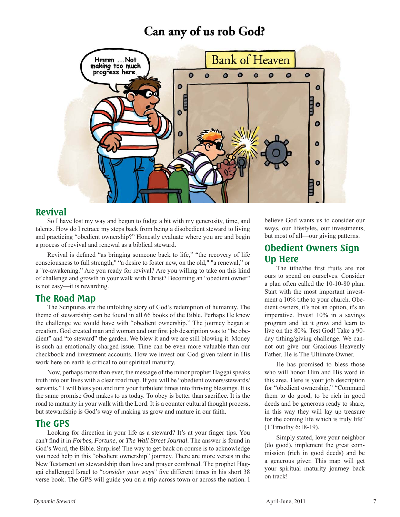#### Can any of us rob God?



#### **Revival**

So I have lost my way and begun to fudge a bit with my generosity, time, and talents. How do I retrace my steps back from being a disobedient steward to living and practicing "obedient ownership?" Honestly evaluate where you are and begin a process of revival and renewal as a biblical steward.

Revival is defined "as bringing someone back to life," "the recovery of life consciousness to full strength," "a desire to foster new, on the old," "a renewal," or a "re-awakening." Are you ready for revival? Are you willing to take on this kind of challenge and growth in your walk with Christ? Becoming an "obedient owner" is not easy—it is rewarding.

#### **The Road Map**

The Scriptures are the unfolding story of God's redemption of humanity. The theme of stewardship can be found in all 66 books of the Bible. Perhaps He knew the challenge we would have with "obedient ownership." The journey began at creation. God created man and woman and our first job description was to "be obedient" and "to steward" the garden. We blew it and we are still blowing it. Money is such an emotionally charged issue. Time can be even more valuable than our checkbook and investment accounts. How we invest our God-given talent in His work here on earth is critical to our spiritual maturity.

Now, perhaps more than ever, the message of the minor prophet Haggai speaks truth into our lives with a clear road map. If you will be "obedient owners/stewards/ servants," I will bless you and turn your turbulent times into thriving blessings. It is the same promise God makes to us today. To obey is better than sacrifice. It is the road to maturity in your walk with the Lord. It is a counter cultural thought process, but stewardship is God's way of making us grow and mature in our faith.

#### **The GPS**

Looking for direction in your life as a steward? It's at your finger tips. You can't find it in *Forbes*, *Fortune*, or *The Wall Street Journal*. The answer is found in God's Word, the Bible. Surprise! The way to get back on course is to acknowledge you need help in this "obedient ownership" journey. There are more verses in the New Testament on stewardship than love and prayer combined. The prophet Haggai challenged Israel to "*consider your ways*" five different times in his short 38 verse book. The GPS will guide you on a trip across town or across the nation. I believe God wants us to consider our ways, our lifestyles, our investments, but most of all—our giving patterns.

#### **Obedient Owners Sign Up Here**

The tithe/the first fruits are not ours to spend on ourselves. Consider a plan often called the 10-10-80 plan. Start with the most important investment a 10% tithe to your church. Obedient owners, it's not an option, it's an imperative. Invest 10% in a savings program and let it grow and learn to live on the 80%. Test God! Take a 90 day tithing/giving challenge. We cannot out give our Gracious Heavenly Father. He is The Ultimate Owner.

He has promised to bless those who will honor Him and His word in this area. Here is your job description for "obedient ownership," "Command them to do good, to be rich in good deeds and be generous ready to share, in this way they will lay up treasure for the coming life which is truly life" (1 Timothy 6:18-19).

Simply stated, love your neighbor (do good), implement the great commission (rich in good deeds) and be a generous giver. This map will get your spiritual maturity journey back on track!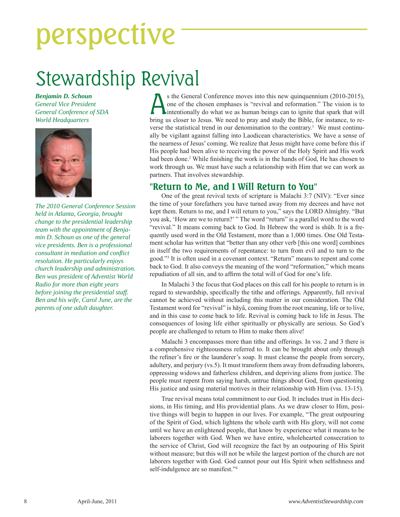# perspective

### Stewardship Revival

*Benjamin D. Schoun General Vice President General Conference of SDA World Headquarters*



*The 2010 General Conference Session held in Atlanta, Georgia, brought change to the presidential leadership team with the appointment of Benjamin D. Schoun as one of the general vice presidents. Ben is a professional consultant in mediation and confl ict resolution. He particularly enjoys church leadership and administration. Ben was president of Adventist World Radio for more than eight years before joining the presidential staff. Ben and his wife, Carol June, are the parents of one adult daughter.*

S the General Conference moves into this new quinquennium (2010-2015),<br>one of the chosen emphases is "revival and reformation." The vision is to<br>intentionally do what we as human beings can to ignite that spark that will<br>h one of the chosen emphases is "revival and reformation." The vision is to Intentionally do what we as human beings can to ignite that spark that will bring us closer to Jesus. We need to pray and study the Bible, for instance, to reverse the statistical trend in our denomination to the contrary.<sup>1</sup> We must continually be vigilant against falling into Laodicean characteristics. We have a sense of the nearness of Jesus' coming. We realize that Jesus might have come before this if His people had been alive to receiving the power of the Holy Spirit and His work had been done.<sup>2</sup> While finishing the work is in the hands of God, He has chosen to work through us. We must have such a relationship with Him that we can work as partners. That involves stewardship.

#### **"Return to Me, and I Will Return to You"**

One of the great revival texts of scripture is Malachi 3:7 (NIV): "Ever since the time of your forefathers you have turned away from my decrees and have not kept them. Return to me, and I will return to you," says the LORD Almighty. "But you ask, 'How are we to return?' " The word "return" is a parallel word to the word "revival." It means coming back to God. In Hebrew the word is shûb. It is a frequently used word in the Old Testament, more than a 1,000 times. One Old Testament scholar has written that "better than any other verb [this one word] combines in itself the two requirements of repentance: to turn from evil and to turn to the good."3 It is often used in a covenant context. "Return" means to repent and come back to God. It also conveys the meaning of the word "reformation," which means repudiation of all sin, and to affirm the total will of God for one's life.

In Malachi 3 the focus that God places on this call for his people to return is in regard to stewardship, specifically the tithe and offerings. Apparently, full revival cannot be achieved without including this matter in our consideration. The Old Testament word for "revival" is hāyâ, coming from the root meaning, life or to live, and in this case to come back to life. Revival is coming back to life in Jesus. The consequences of losing life either spiritually or physically are serious. So God's people are challenged to return to Him to make them alive!

Malachi 3 encompasses more than tithe and offerings. In vss. 2 and 3 there is a comprehensive righteousness referred to. It can be brought about only through the refiner's fire or the launderer's soap. It must cleanse the people from sorcery, adultery, and perjury (vs.5). It must transform them away from defrauding laborers, oppressing widows and fatherless children, and depriving aliens from justice. The people must repent from saying harsh, untrue things about God, from questioning His justice and using material motives in their relationship with Him (vss. 13-15).

True revival means total commitment to our God. It includes trust in His decisions, in His timing, and His providential plans. As we draw closer to Him, positive things will begin to happen in our lives. For example, "The great outpouring of the Spirit of God, which lightens the whole earth with His glory, will not come until we have an enlightened people, that know by experience what it means to be laborers together with God. When we have entire, wholehearted consecration to the service of Christ, God will recognize the fact by an outpouring of His Spirit without measure; but this will not be while the largest portion of the church are not laborers together with God. God cannot pour out His Spirit when selfishness and self-indulgence are so manifest."<sup>4</sup>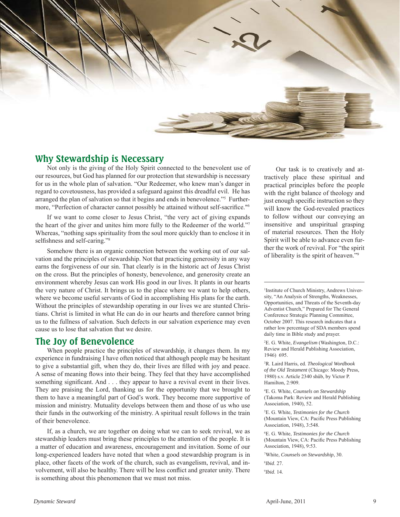

#### **Why Stewardship is Necessary**

Not only is the giving of the Holy Spirit connected to the benevolent use of our resources, but God has planned for our protection that stewardship is necessary for us in the whole plan of salvation. "Our Redeemer, who knew man's danger in regard to covetousness, has provided a safeguard against this dreadful evil. He has arranged the plan of salvation so that it begins and ends in benevolence."<sup>5</sup> Furthermore, "Perfection of character cannot possibly be attained without self-sacrifice."<sup>6</sup>

If we want to come closer to Jesus Christ, "the very act of giving expands the heart of the giver and unites him more fully to the Redeemer of the world."7 Whereas, "nothing saps spirituality from the soul more quickly than to enclose it in selfishness and self-caring."<sup>8</sup>

Somehow there is an organic connection between the working out of our salvation and the principles of stewardship. Not that practicing generosity in any way earns the forgiveness of our sin. That clearly is in the historic act of Jesus Christ on the cross. But the principles of honesty, benevolence, and generosity create an environment whereby Jesus can work His good in our lives. It plants in our hearts the very nature of Christ. It brings us to the place where we want to help others, where we become useful servants of God in accomplishing His plans for the earth. Without the principles of stewardship operating in our lives we are stunted Christians. Christ is limited in what He can do in our hearts and therefore cannot bring us to the fullness of salvation. Such defects in our salvation experience may even cause us to lose that salvation that we desire.

#### **The Joy of Benevolence**

When people practice the principles of stewardship, it changes them. In my experience in fundraising I have often noticed that although people may be hesitant to give a substantial gift, when they do, their lives are filled with joy and peace. A sense of meaning flows into their being. They feel that they have accomplished something significant. And . . . they appear to have a revival event in their lives. They are praising the Lord, thanking us for the opportunity that we brought to them to have a meaningful part of God's work. They become more supportive of mission and ministry. Mutuality develops between them and those of us who use their funds in the outworking of the ministry. A spiritual result follows in the train of their benevolence.

If, as a church, we are together on doing what we can to seek revival, we as stewardship leaders must bring these principles to the attention of the people. It is a matter of education and awareness, encouragement and invitation. Some of our long-experienced leaders have noted that when a good stewardship program is in place, other facets of the work of the church, such as evangelism, revival, and involvement, will also be healthy. There will be less conflict and greater unity. There is something about this phenomenon that we must not miss.

Our task is to creatively and attractively place these spiritual and practical principles before the people with the right balance of theology and just enough specific instruction so they will know the God-revealed practices to follow without our conveying an insensitive and unspiritual grasping of material resources. Then the Holy Spirit will be able to advance even further the work of revival. For "the spirit of liberality is the spirit of heaven."9

1 Institute of Church Ministry, Andrews University, "An Analysis of Strengths, Weaknesses, Opportunities, and Threats of the Seventh-day Adventist Church," Prepared for The General Conference Strategic Planning Committee, October 2007. This research indicates that a rather low percentage of SDA members spend daily time in Bible study and prayer.

2 E. G. White, *Evangelism* (Washington, D.C.: Review and Herald Publishing Association, 1946) 695.

3 R. Laird Harris, ed. *Theological Wordbook of the Old Testament* (Chicago: Moody Press, 1980) s.v. Article 2340 shûb, by Victor P. Hamilton, 2:909.

4 E. G. White, *Counsels on Stewardship*  (Takoma Park: Review and Herald Publishing Association, 1940), 52.

5 E. G. White, *Testimonies for the Church*  (Mountain View, CA: Pacific Press Publishing Association, 1948), 3:548.

6 E. G. White, *Testimonies for the Church*  (Mountain View, CA: Pacific Press Publishing Association, 1948), 9:53.

7 White, *Counsels on Stewardship*, 30.

8 *Ibid*. 27.

9 *Ibid*. 14.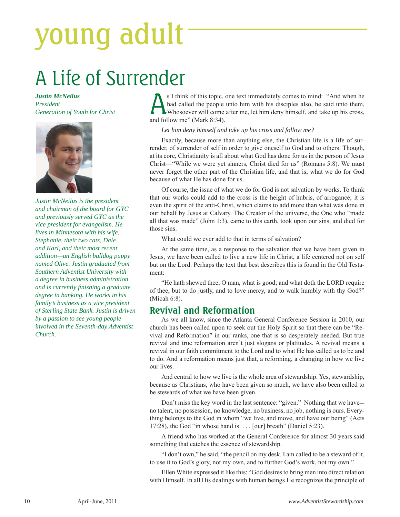# young adult

### A Life of Surrender

#### *Justin McNeilus President Generation of Youth for Christ*



*Justin McNeilus is the president and chairman of the board for GYC and previously served GYC as the vice president for evangelism. He lives in Minnesota with his wife, Stephanie, their two cats, Dale and Karl, and their most recent addition—an English bulldog puppy named Olive. Justin graduated from Southern Adventist University with a degree in business administration and is currently fi nishing a graduate degree in banking. He works in his family's business as a vice president of Sterling State Bank. Justin is driven by a passion to see young people involved in the Seventh-day Adventist Church.*

S I think of this topic, one text immediately comes to mind: "And when he had called the people unto him with his disciples also, he said unto them, whosoever will come after me, let him deny himself, and take up his cross had called the people unto him with his disciples also, he said unto them, and follow me" (Mark 8:34).

#### *Let him deny himself and take up his cross and follow me?*

Exactly, because more than anything else, the Christian life is a life of surrender, of surrender of self in order to give oneself to God and to others. Though, at its core, Christianity is all about what God has done for us in the person of Jesus Christ—"While we were yet sinners, Christ died for us" (Romans 5:8). We must never forget the other part of the Christian life, and that is, what we do for God because of what He has done for us.

Of course, the issue of what we do for God is not salvation by works. To think that our works could add to the cross is the height of hubris, of arrogance; it is even the spirit of the anti-Christ, which claims to add more than what was done in our behalf by Jesus at Calvary. The Creator of the universe, the One who "made all that was made" (John 1:3), came to this earth, took upon our sins, and died for those sins.

What could we ever add to that in terms of salvation?

At the same time, as a response to the salvation that we have been given in Jesus, we have been called to live a new life in Christ, a life centered not on self but on the Lord. Perhaps the text that best describes this is found in the Old Testament:

"He hath shewed thee, O man, what is good; and what doth the LORD require of thee, but to do justly, and to love mercy, and to walk humbly with thy God?" (Micah 6:8).

#### **Revival and Reformation**

As we all know, since the Atlanta General Conference Session in 2010, our church has been called upon to seek out the Holy Spirit so that there can be "Revival and Reformation" in our ranks, one that is so desperately needed. But true revival and true reformation aren't just slogans or platitudes. A revival means a revival in our faith commitment to the Lord and to what He has called us to be and to do. And a reformation means just that, a reforming, a changing in how we live our lives.

And central to how we live is the whole area of stewardship. Yes, stewardship, because as Christians, who have been given so much, we have also been called to be stewards of what we have been given.

Don't miss the key word in the last sentence: "given." Nothing that we have no talent, no possession, no knowledge, no business, no job, nothing is ours. Everything belongs to the God in whom "we live, and move, and have our being" (Acts 17:28), the God "in whose hand is . . . [our] breath" (Daniel 5:23).

A friend who has worked at the General Conference for almost 30 years said something that catches the essence of stewardship.

"I don't own," he said, "the pencil on my desk. I am called to be a steward of it, to use it to God's glory, not my own, and to further God's work, not my own."

Ellen White expressed it like this: "God desires to bring men into direct relation with Himself. In all His dealings with human beings He recognizes the principle of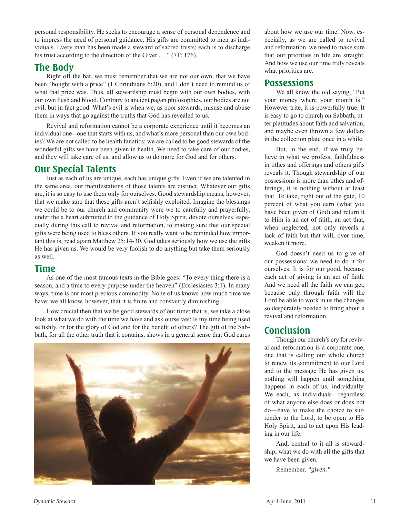personal responsibility. He seeks to encourage a sense of personal dependence and to impress the need of personal guidance. His gifts are committed to men as individuals. Every man has been made a steward of sacred trusts; each is to discharge his trust according to the direction of the Giver . . . " (7T: 176).

#### **The Body**

Right off the bat, we must remember that we are not our own, that we have been "bought with a price" (1 Corinthians 6:20), and I don't need to remind us of what that price was. Thus, all stewardship must begin with our own bodies, with our own flesh and blood. Contrary to ancient pagan philosophies, our bodies are not evil, but in fact good. What's evil is when we, as poor stewards, misuse and abuse them in ways that go against the truths that God has revealed to us.

Revival and reformation cannot be a corporate experience until it becomes an individual one—one that starts with us, and what's more personal than our own bodies? We are not called to be health fanatics; we are called to be good stewards of the wonderful gifts we have been given in health. We need to take care of our bodies, and they will take care of us, and allow us to do more for God and for others.

#### **Our Special Talents**

Just as each of us are unique, each has unique gifts. Even if we are talented in the same area, our manifestations of those talents are distinct. Whatever our gifts are, it is so easy to use them only for ourselves. Good stewardship means, however, that we make sure that these gifts aren't selfishly exploited. Imagine the blessings we could be to our church and community were we to carefully and prayerfully, under the a heart submitted to the guidance of Holy Spirit, devote ourselves, especially during this call to revival and reformation, to making sure that our special gifts were being used to bless others. If you really want to be reminded how important this is, read again Matthew 25:14-30. God takes seriously how we use the gifts He has given us. We would be very foolish to do anything but take them seriously as well.

#### **Time**

As one of the most famous texts in the Bible goes: "To every thing there is a season, and a time to every purpose under the heaven" (Ecclesiastes 3:1). In many ways, time is our most precious commodity. None of us knows how much time we have; we all know, however, that it is finite and constantly diminishing.

How crucial then that we be good stewards of our time; that is, we take a close look at what we do with the time we have and ask ourselves: Is my time being used selfishly, or for the glory of God and for the benefit of others? The gift of the Sabbath, for all the other truth that it contains, shows in a general sense that God cares



about how we use our time. Now, especially, as we are called to revival and reformation, we need to make sure that our priorities in life are straight. And how we use our time truly reveals what priorities are.

#### **Possessions**

We all know the old saying, "Put your money where your mouth is." However trite, it is powerfully true. It is easy to go to church on Sabbath, utter platitudes about faith and salvation, and maybe even thrown a few dollars in the collection plate once in a while.

But, in the end, if we truly believe in what we profess, faithfulness in tithes and offerings and others gifts reveals it. Though stewardship of our possessions is more than tithes and offerings, it is nothing without at least that. To take, right out of the gate, 10 percent of what you earn (what you have been given of God) and return it to Him is an act of faith, an act that, when neglected, not only reveals a lack of faith but that will, over time, weaken it more.

God doesn't need us to give of our possessions; we need to do it for ourselves. It is for our good, because each act of giving is an act of faith. And we need all the faith we can get, because only through faith will the Lord be able to work in us the changes so desperately needed to bring about a revival and reformation.

#### **Conclusion**

Though our church's cry for revival and reformation is a corporate one, one that is calling our whole church to renew its commitment to our Lord and to the message He has given us, nothing will happen until something happens in each of us, individually. We each, as individuals—regardless of what anyone else does or does not do—have to make the choice to surrender to the Lord, to be open to His Holy Spirit, and to act upon His leading in our life.

And, central to it all is stewardship, what we do with all the gifts that we have been given.

Remember, *"given."*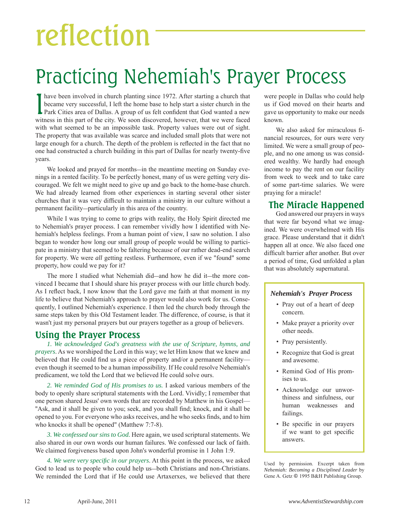# reflection

### Practicing Nehemiah's Prayer Process

I have been involved in church planting since 1972. After starting a church that became very successful, I left the home base to help start a sister church in the Park Cities area of Dallas. A group of us felt confident th have been involved in church planting since 1972. After starting a church that became very successful, I left the home base to help start a sister church in the witness in this part of the city. We soon discovered, however, that we were faced with what seemed to be an impossible task. Property values were out of sight. The property that was available was scarce and included small plots that were not large enough for a church. The depth of the problem is reflected in the fact that no one had constructed a church building in this part of Dallas for nearly twenty-five years.

We looked and prayed for months—in the meantime meeting on Sunday evenings in a rented facility. To be perfectly honest, many of us were getting very discouraged. We felt we might need to give up and go back to the home-base church. We had already learned from other experiences in starting several other sister churches that it was very difficult to maintain a ministry in our culture without a permanent facility—particularly in this area of the country.

While I was trying to come to grips with reality, the Holy Spirit directed me to Nehemiah's prayer process. I can remember vividly how I identified with Nehemiah's helpless feelings. From a human point of view, I saw no solution. I also began to wonder how long our small group of people would be willing to participate in a ministry that seemed to be faltering because of our rather dead-end search for property. We were *all* getting restless. Furthermore, even if we "found" some property, how could we pay for it?

The more I studied what Nehemiah did—and how he did it—the more convinced I became that I should share his prayer process with our little church body. As I reflect back, I now know that the Lord gave me faith at that moment in my life to believe that Nehemiah's approach to prayer would also work for us. Consequently, I outlined Nehemiah's experience. I then led the church body through the same steps taken by this Old Testament leader. The difference, of course, is that it wasn't just my personal prayers but our prayers together as a group of believers.

#### **Using the Prayer Process**

*1. We acknowledged God's greatness with the use of Scripture, hymns, and prayers*. As we worshiped the Lord in this way; we let Him know that we knew and believed that He could find us a piece of property and/or a permanent facility even though it seemed to be a human impossibility. If He could resolve Nehemiah's predicament, we told the Lord that we believed He could solve ours.

*2. We reminded God of His promises to us.* I asked various members of the body to openly share scriptural statements with the Lord. Vividly; I remember that one person shared Jesus' own words that are recorded by Matthew in his Gospel— "Ask, and it shall be given to you; seek, and you shall find; knock, and it shall be opened to you. For everyone who asks receives, and he who seeks finds, and to him who knocks it shall be opened" (Matthew 7:7-8).

*3. We confessed our sins to God.* Here again, we used scriptural statements. We also shared in our own words our human failures. We confessed our lack of faith. We claimed forgiveness based upon John's wonderful promise in 1 John 1:9.

*4. We were very specifi c in our prayers*. At this point in the process, we asked God to lead us to people who could help us—both Christians and non-Christians. We reminded the Lord that if He could use Artaxerxes, we believed that there were people in Dallas who could help us if God moved on their hearts and gave us opportunity to make our needs known.

We also asked for miraculous financial resources, for ours were very limited. We were a small group of people, and no one among us was considered wealthy. We hardly had enough income to pay the rent on our facility from week to week and to take care of some part-time salaries. We were praying for a miracle!

#### **The Miracle Happened**

God answered our prayers in ways that were far beyond what we imagined. We were overwhelmed with His grace. Please understand that it didn't happen all at once. We also faced one difficult barrier after another. But over a period of time, God unfolded a plan that was absolutely supernatural.

#### *Nehemiah's Prayer Process*

- Pray out of a heart of deep concern.
- Make prayer a priority over other needs.
- Pray persistently.
- Recognize that God is great and awesome.
- Remind God of His promises to us.
- Acknowledge our unworthiness and sinfulness, our human weaknesses and failings.
- Be specific in our prayers if we want to get specific answers.

Used by permission. Excerpt taken from *Nehemiah: Becoming a Disciplined Leader* by Gene A. Getz **©** 1995 B&H Publishing Group.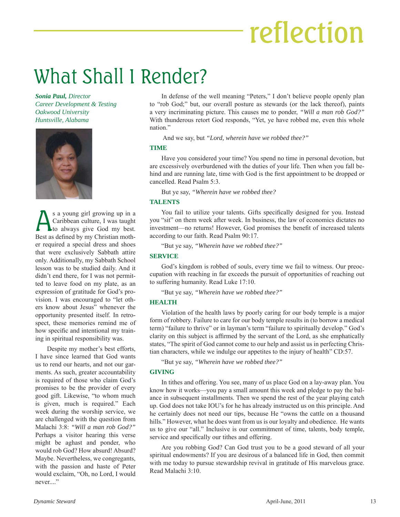# reflection

### What Shall I Render?

*Sonia Paul, Director Career Development & Testing Oakwood University Huntsville, Alabama*



S a young girl growing up in a<br>Caribbean culture, I was taught<br>to always give God my best. Caribbean culture, I was taught to always give God my best. Best as defined by my Christian mother required a special dress and shoes that were exclusively Sabbath attire only. Additionally, my Sabbath School lesson was to be studied daily. And it didn't end there, for I was not permitted to leave food on my plate, as an expression of gratitude for God's provision. I was encouraged to "let others know about Jesus" whenever the opportunity presented itself. In retrospect, these memories remind me of how specific and intentional my training in spiritual responsibility was.

Despite my mother's best efforts, I have since learned that God wants us to rend our hearts, and not our garments. As such, greater accountability is required of those who claim God's promises to be the provider of every good gift. Likewise, "to whom much is given, much is required." Each week during the worship service, we are challenged with the question from Malachi 3:8: *"Will a man rob God?"* Perhaps a visitor hearing this verse might be aghast and ponder, who would rob God? How absurd! Absurd? Maybe. Nevertheless, we congregants, with the passion and haste of Peter would exclaim, "Oh, no Lord, I would never...."

In defense of the well meaning "Peters," I don't believe people openly plan to "rob God;" but, our overall posture as stewards (or the lack thereof), paints a very incriminating picture. This causes me to ponder, *"Will a man rob God?"* With thunderous retort God responds, "Yet, ye have robbed me, even this whole nation."

And we say, but *"Lord, wherein have we robbed thee?"*

#### **TIME**

Have you considered your time? You spend no time in personal devotion, but are excessively overburdened with the duties of your life. Then when you fall behind and are running late, time with God is the first appointment to be dropped or cancelled. Read Psalm 5:3.

But ye say, *"Wherein have we robbed thee?*

#### **TALENTS**

You fail to utilize your talents. Gifts specifically designed for you. Instead you "sit" on them week after week. In business, the law of economics dictates no investment—no returns! However, God promises the benefit of increased talents according to our faith. Read Psalm 90:17.

"But ye say, *"Wherein have we robbed thee?"*

#### **SERVICE**

God's kingdom is robbed of souls, every time we fail to witness. Our preoccupation with reaching in far exceeds the pursuit of opportunities of reaching out to suffering humanity. Read Luke 17:10.

"But ye say, *"Wherein have we robbed thee?"*

#### **HEALTH**

Violation of the health laws by poorly caring for our body temple is a major form of robbery. Failure to care for our body temple results in (to borrow a medical term) "failure to thrive" or in layman's term "failure to spiritually develop." God's clarity on this subject is affirmed by the servant of the Lord, as she emphatically states, "The spirit of God cannot come to our help and assist us in perfecting Christian characters, while we indulge our appetites to the injury of health" CD:57.

"But ye say, *"Wherein have we robbed thee?"*

#### **GIVING**

In tithes and offering. You see, many of us place God on a lay-away plan. You know how it works—you pay a small amount this week and pledge to pay the balance in subsequent installments. Then we spend the rest of the year playing catch up. God does not take IOU's for he has already instructed us on this principle. And he certainly does not need our tips, because He "owns the cattle on a thousand hills." However, what he does want from us is our loyalty and obedience. He wants us to give our "all." Inclusive is our commitment of time, talents, body temple, service and specifically our tithes and offering.

Are you robbing God? Can God trust you to be a good steward of all your spiritual endowments? If you are desirous of a balanced life in God, then commit with me today to pursue stewardship revival in gratitude of His marvelous grace. Read Malachi 3:10.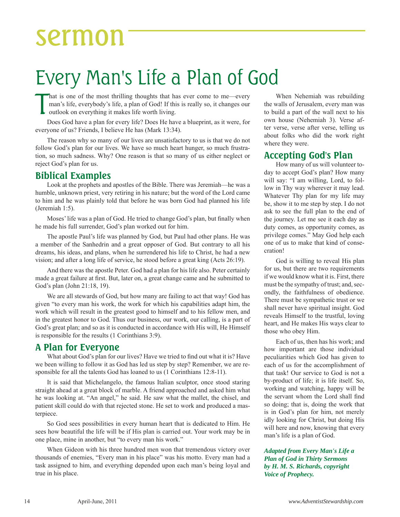### sermon

### Every Man's Life a Plan of God

T hat is one of the most thrilling thoughts that has ever come to me—every man's life, everybody's life, a plan of God! If this is really so, it changes our outlook on everything it makes life worth living.

Does God have a plan for every life? Does He have a blueprint, as it were, for everyone of us? Friends, I believe He has (Mark 13:34).

The reason why so many of our lives are unsatisfactory to us is that we do not follow God's plan for our lives. We have so much heart hunger, so much frustration, so much sadness. Why? One reason is that so many of us either neglect or reject God's plan for us.

#### **Biblical Examples**

Look at the prophets and apostles of the Bible. There was Jeremiah—he was a humble, unknown priest, very retiring in his nature; but the word of the Lord came to him and he was plainly told that before he was born God had planned his life (Jeremiah 1:5).

Moses' life was a plan of God. He tried to change God's plan, but finally when he made his full surrender, God's plan worked out for him.

The apostle Paul's life was planned by God, but Paul had other plans. He was a member of the Sanhedrin and a great opposer of God. But contrary to all his dreams, his ideas, and plans, when he surrendered his life to Christ, he had a new vision; and after a long life of service, he stood before a great king (Acts 26:19).

And there was the apostle Peter. God had a plan for his life also. Peter certainly made a great failure at first. But, later on, a great change came and he submitted to God's plan (John 21:18, 19).

We are all stewards of God, but how many are failing to act that way! God has given "to every man his work, the work for which his capabilities adapt him, the work which will result in the greatest good to himself and to his fellow men, and in the greatest honor to God. Thus our business, our work, our calling, is a part of God's great plan; and so as it is conducted in accordance with His will, He Himself is responsible for the results (1 Corinthians 3:9).

#### **A Plan for Everyone**

What about God's plan for our lives? Have we tried to find out what it is? Have we been willing to follow it as God has led us step by step? Remember, we are responsible for all the talents God has loaned to us (1 Corinthians 12:8-11).

It is said that Michelangelo, the famous Italian sculptor, once stood staring straight ahead at a great block of marble. A friend approached and asked him what he was looking at. "An angel," he said. He saw what the mallet, the chisel, and patient skill could do with that rejected stone. He set to work and produced a masterpiece.

So God sees possibilities in every human heart that is dedicated to Him. He sees how beautiful the life will be if His plan is carried out. Your work may be in one place, mine in another, but "to every man his work."

When Gideon with his three hundred men won that tremendous victory over thousands of enemies, "Every man in his place" was his motto. Every man had a task assigned to him, and everything depended upon each man's being loyal and true in his place.

When Nehemiah was rebuilding the walls of Jerusalem, every man was to build a part of the wall next to his own house (Nehemiah 3). Verse after verse, verse after verse, telling us about folks who did the work right where they were.

#### **Accepting God's Plan**

How many of us will volunteer today to accept God's plan? How many will say: "I am willing, Lord, to follow in Thy way wherever it may lead. Whatever Thy plan for my life may be, show it to me step by step. I do not ask to see the full plan to the end of the journey. Let me see it each day as duty comes, as opportunity comes, as privilege comes." May God help each one of us to make that kind of consecration!

God is willing to reveal His plan for us, but there are two requirements if we would know what it is. First, there must be the sympathy of trust; and, secondly, the faithfulness of obedience. There must be sympathetic trust or we shall never have spiritual insight. God reveals Himself to the trustful, loving heart, and He makes His ways clear to those who obey Him.

Each of us, then has his work; and how important are those individual peculiarities which God has given to each of us for the accomplishment of that task! Our service to God is not a by-product of life; it is life itself. So, working and watching, happy will be the servant whom the Lord shall find so doing; that is, doing the work that is in God's plan for him, not merely idly looking for Christ, but doing His will here and now, knowing that every man's life is a plan of God.

#### *Adapted from Every Man's Life a Plan of God in Thirty Sermons by H. M. S. Richards, copyright Voice of Prophecy.*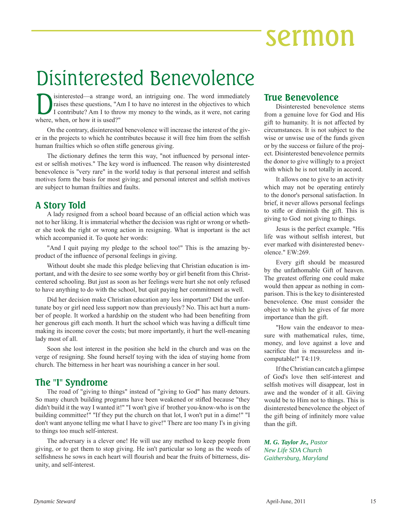### sermon

### Disinterested Benevolence

Interested—a strange word, an intriguing one. The word immediately raises these questions, "Am I to have no interest in the objectives to which I contribute? Am I to throw my money to the winds, as it were, not caring when raises these questions, "Am I to have no interest in the objectives to which I contribute? Am I to throw my money to the winds, as it were, not caring where, when, or how it is used?"

On the contrary, disinterested benevolence will increase the interest of the giver in the projects to which he contributes because it will free him from the selfish human frailties which so often stifle generous giving.

The dictionary defines the term this way, "not influenced by personal interest or selfish motives." The key word is influenced. The reason why disinterested benevolence is "very rare" in the world today is that personal interest and selfish motives form the basis for most giving; and personal interest and selfish motives are subject to human frailties and faults.

#### **A Story Told**

A lady resigned from a school board because of an official action which was not to her liking. It is immaterial whether the decision was right or wrong or whether she took the right or wrong action in resigning. What is important is the act which accompanied it. To quote her words:

"And I quit paying my pledge to the school too!" This is the amazing byproduct of the influence of personal feelings in giving.

Without doubt she made this pledge believing that Christian education is important, and with the desire to see some worthy boy or girl benefit from this Christcentered schooling. But just as soon as her feelings were hurt she not only refused to have anything to do with the school, but quit paying her commitment as well.

Did her decision make Christian education any less important? Did the unfortunate boy or girl need less support now than previously? No. This act hurt a number of people. It worked a hardship on the student who had been benefiting from her generous gift each month. It hurt the school which was having a difficult time making its income cover the costs; but more importantly, it hurt the well-meaning lady most of all.

Soon she lost interest in the position she held in the church and was on the verge of resigning. She found herself toying with the idea of staying home from church. The bitterness in her heart was nourishing a cancer in her soul.

#### **The "I" Syndrome**

The road of "giving to things" instead of "giving to God" has many detours. So many church building programs have been weakened or stifled because "they didn't build it the way I wanted it!" "I won't give if brother you-know-who is on the building committee!" "If they put the church on that lot, I won't put in a dime!" "I don't want anyone telling me what I have to give!" There are too many I's in giving to things too much self-interest.

The adversary is a clever one! He will use any method to keep people from giving, or to get them to stop giving. He isn't particular so long as the weeds of selfishness he sows in each heart will flourish and bear the fruits of bitterness, disunity, and self-interest.

#### **True Benevolence**

Disinterested benevolence stems from a genuine love for God and His gift to humanity. It is not affected by circumstances. It is not subject to the wise or unwise use of the funds given or by the success or failure of the project. Disinterested benevolence permits the donor to give willingly to a project with which he is not totally in accord.

It allows one to give to an activity which may not be operating entirely to the donor's personal satisfaction. In brief, it never allows personal feelings to stifle or diminish the gift. This is giving to God not giving to things.

Jesus is the perfect example. "His life was without selfish interest, but ever marked with disinterested benevolence." EW:269.

Every gift should be measured by the unfathomable Gift of heaven. The greatest offering one could make would then appear as nothing in comparison. This is the key to disinterested benevolence. One must consider the object to which he gives of far more importance than the gift.

"How vain the endeavor to measure with mathematical rules, time, money, and love against a love and sacrifice that is measureless and incomputable!" T4:119.

If the Christian can catch a glimpse of God's love then self-interest and selfish motives will disappear, lost in awe and the wonder of it all. Giving would be to Him not to things. This is disinterested benevolence the object of the gift being of infinitely more value than the gift.

*M. G. Taylor Jr., Pastor New Life SDA Church Gaithersburg, Maryland*